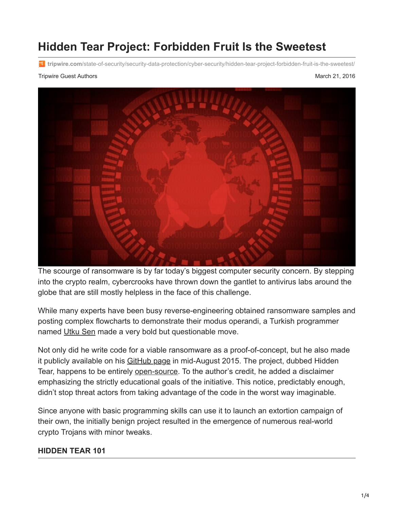# **Hidden Tear Project: Forbidden Fruit Is the Sweetest**

**tripwire.com**[/state-of-security/security-data-protection/cyber-security/hidden-tear-project-forbidden-fruit-is-the-sweetest/](https://www.tripwire.com/state-of-security/security-data-protection/cyber-security/hidden-tear-project-forbidden-fruit-is-the-sweetest/)

#### Tripwire Guest Authors **March 21, 2016** National Authors March 21, 2016



The scourge of ransomware is by far today's biggest computer security concern. By stepping into the crypto realm, cybercrooks have thrown down the gantlet to antivirus labs around the globe that are still mostly helpless in the face of this challenge.

While many experts have been busy reverse-engineering obtained ransomware samples and posting complex flowcharts to demonstrate their modus operandi, a Turkish programmer named [Utku Sen](https://twitter.com/utku1337) made a very bold but questionable move.

Not only did he write code for a viable ransomware as a proof-of-concept, but he also made it publicly available on his [GitHub page](https://github.com/utkusen/hidden-tear) in mid-August 2015. The project, dubbed Hidden Tear, happens to be entirely [open-source.](http://myspybot.com/hidden-tear/) To the author's credit, he added a disclaimer emphasizing the strictly educational goals of the initiative. This notice, predictably enough, didn't stop threat actors from taking advantage of the code in the worst way imaginable.

Since anyone with basic programming skills can use it to launch an extortion campaign of their own, the initially benign project resulted in the emergence of numerous real-world crypto Trojans with minor tweaks.

#### **HIDDEN TEAR 101**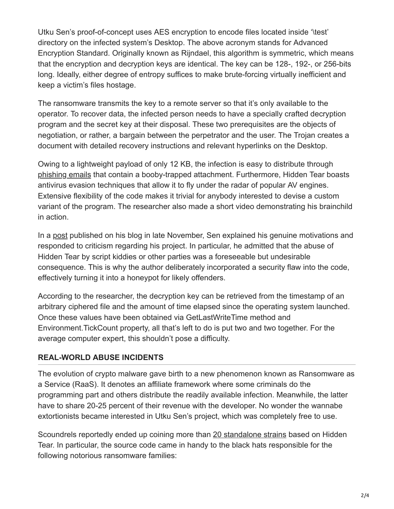Utku Sen's proof-of-concept uses AES encryption to encode files located inside '\test' directory on the infected system's Desktop. The above acronym stands for Advanced Encryption Standard. Originally known as Rijndael, this algorithm is symmetric, which means that the encryption and decryption keys are identical. The key can be 128-, 192-, or 256-bits long. Ideally, either degree of entropy suffices to make brute-forcing virtually inefficient and keep a victim's files hostage.

The ransomware transmits the key to a remote server so that it's only available to the operator. To recover data, the infected person needs to have a specially crafted decryption program and the secret key at their disposal. These two prerequisites are the objects of negotiation, or rather, a bargain between the perpetrator and the user. The Trojan creates a document with detailed recovery instructions and relevant hyperlinks on the Desktop.

Owing to a lightweight payload of only 12 KB, the infection is easy to distribute through [phishing emails](https://www.tripwire.com/state-of-security/latest-security-news/report-phishing-scams-cost-companies-millions-per-year/) that contain a booby-trapped attachment. Furthermore, Hidden Tear boasts antivirus evasion techniques that allow it to fly under the radar of popular AV engines. Extensive flexibility of the code makes it trivial for anybody interested to devise a custom variant of the program. The researcher also made a short video demonstrating his brainchild in action.

In a [post](http://www.utkusen.com/blog/destroying-the-encryption-of-hidden-tear-ransomware.html) published on his blog in late November, Sen explained his genuine motivations and responded to criticism regarding his project. In particular, he admitted that the abuse of Hidden Tear by script kiddies or other parties was a foreseeable but undesirable consequence. This is why the author deliberately incorporated a security flaw into the code, effectively turning it into a honeypot for likely offenders.

According to the researcher, the decryption key can be retrieved from the timestamp of an arbitrary ciphered file and the amount of time elapsed since the operating system launched. Once these values have been obtained via GetLastWriteTime method and Environment.TickCount property, all that's left to do is put two and two together. For the average computer expert, this shouldn't pose a difficulty.

### **REAL-WORLD ABUSE INCIDENTS**

The evolution of crypto malware gave birth to a new phenomenon known as Ransomware as a Service (RaaS). It denotes an affiliate framework where some criminals do the programming part and others distribute the readily available infection. Meanwhile, the latter have to share 20-25 percent of their revenue with the developer. No wonder the wannabe extortionists became interested in Utku Sen's project, which was completely free to use.

Scoundrels reportedly ended up coining more than [20 standalone strains](https://securelist.com/blog/research/73565/hidden-tear-and-its-spin-offs/) based on Hidden Tear. In particular, the source code came in handy to the black hats responsible for the following notorious ransomware families: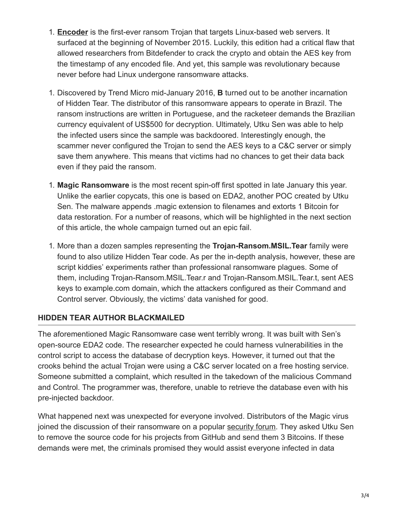- 1. **[Encoder](https://www.tripwire.com/state-of-security/latest-security-news/new-ransomware-strain-targets-websites-powered-by-linux-os/)** is the first-ever ransom Trojan that targets Linux-based web servers. It surfaced at the beginning of November 2015. Luckily, this edition had a critical flaw that allowed researchers from Bitdefender to crack the crypto and obtain the AES key from the timestamp of any encoded file. And yet, this sample was revolutionary because never before had Linux undergone ransomware attacks.
- 1. Discovered by Trend Micro mid-January 2016, **B** turned out to be another incarnation of Hidden Tear. The distributor of this ransomware appears to operate in Brazil. The ransom instructions are written in Portuguese, and the racketeer demands the Brazilian currency equivalent of US\$500 for decryption. Ultimately, Utku Sen was able to help the infected users since the sample was backdoored. Interestingly enough, the scammer never configured the Trojan to send the AES keys to a C&C server or simply save them anywhere. This means that victims had no chances to get their data back even if they paid the ransom.
- 1. **Magic Ransomware** is the most recent spin-off first spotted in late January this year. Unlike the earlier copycats, this one is based on EDA2, another POC created by Utku Sen. The malware appends .magic extension to filenames and extorts 1 Bitcoin for data restoration. For a number of reasons, which will be highlighted in the next section of this article, the whole campaign turned out an epic fail.
- 1. More than a dozen samples representing the **Trojan-Ransom.MSIL.Tear** family were found to also utilize Hidden Tear code. As per the in-depth analysis, however, these are script kiddies' experiments rather than professional ransomware plagues. Some of them, including Trojan-Ransom.MSIL.Tear.r and Trojan-Ransom.MSIL.Tear.t, sent AES keys to example.com domain, which the attackers configured as their Command and Control server. Obviously, the victims' data vanished for good.

### **HIDDEN TEAR AUTHOR BLACKMAILED**

The aforementioned Magic Ransomware case went terribly wrong. It was built with Sen's open-source EDA2 code. The researcher expected he could harness vulnerabilities in the control script to access the database of decryption keys. However, it turned out that the crooks behind the actual Trojan were using a C&C server located on a free hosting service. Someone submitted a complaint, which resulted in the takedown of the malicious Command and Control. The programmer was, therefore, unable to retrieve the database even with his pre-injected backdoor.

What happened next was unexpected for everyone involved. Distributors of the Magic virus joined the discussion of their ransomware on a popular [security forum](http://www.bleepingcomputer.com/forums/t/603051/magic-ransomware-support-topic-magicexe-executable-and-adds-magic-extension/). They asked Utku Sen to remove the source code for his projects from GitHub and send them 3 Bitcoins. If these demands were met, the criminals promised they would assist everyone infected in data